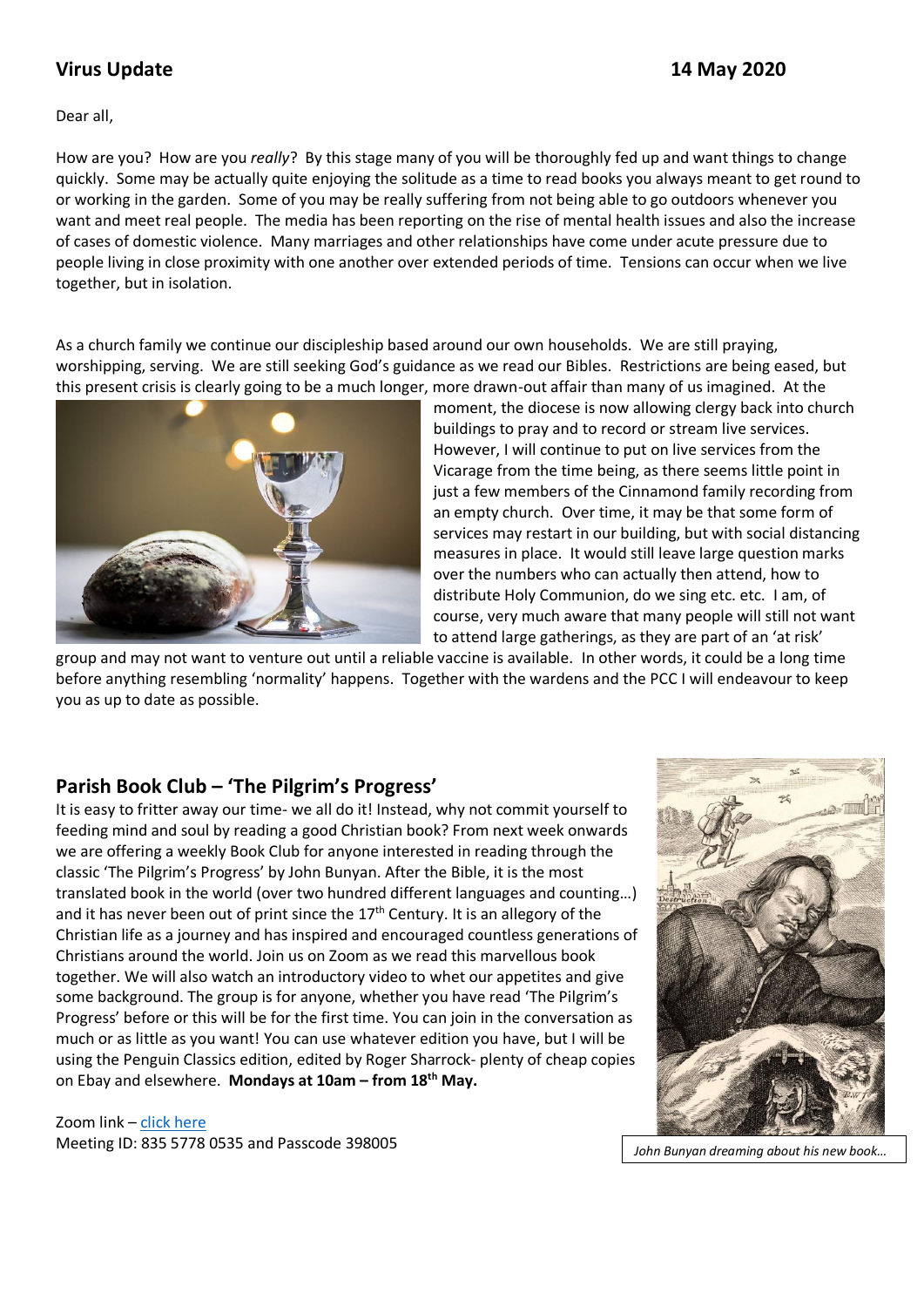# **Virus Update 14 May 2020**

Dear all,

How are you? How are you *really*? By this stage many of you will be thoroughly fed up and want things to change quickly. Some may be actually quite enjoying the solitude as a time to read books you always meant to get round to or working in the garden. Some of you may be really suffering from not being able to go outdoors whenever you want and meet real people. The media has been reporting on the rise of mental health issues and also the increase of cases of domestic violence. Many marriages and other relationships have come under acute pressure due to people living in close proximity with one another over extended periods of time. Tensions can occur when we live together, but in isolation.

As a church family we continue our discipleship based around our own households. We are still praying, worshipping, serving. We are still seeking God's guidance as we read our Bibles. Restrictions are being eased, but this present crisis is clearly going to be a much longer, more drawn-out affair than many of us imagined. At the



moment, the diocese is now allowing clergy back into church buildings to pray and to record or stream live services. However, I will continue to put on live services from the Vicarage from the time being, as there seems little point in just a few members of the Cinnamond family recording from an empty church. Over time, it may be that some form of services may restart in our building, but with social distancing measures in place. It would still leave large question marks over the numbers who can actually then attend, how to distribute Holy Communion, do we sing etc. etc. I am, of course, very much aware that many people will still not want to attend large gatherings, as they are part of an 'at risk'

group and may not want to venture out until a reliable vaccine is available. In other words, it could be a long time before anything resembling 'normality' happens. Together with the wardens and the PCC I will endeavour to keep you as up to date as possible.

# **Parish Book Club – 'The Pilgrim's Progress'**

It is easy to fritter away our time- we all do it! Instead, why not commit yourself to feeding mind and soul by reading a good Christian book? From next week onwards we are offering a weekly Book Club for anyone interested in reading through the classic 'The Pilgrim's Progress' by John Bunyan. After the Bible, it is the most translated book in the world (over two hundred different languages and counting…) and it has never been out of print since the  $17<sup>th</sup>$  Century. It is an allegory of the Christian life as a journey and has inspired and encouraged countless generations of Christians around the world. Join us on Zoom as we read this marvellous book together. We will also watch an introductory video to whet our appetites and give some background. The group is for anyone, whether you have read 'The Pilgrim's Progress' before or this will be for the first time. You can join in the conversation as much or as little as you want! You can use whatever edition you have, but I will be using the Penguin Classics edition, edited by Roger Sharrock- plenty of cheap copies on Ebay and elsewhere. **Mondays at 10am – from 18th May.**

Zoom link – [click here](https://us02web.zoom.us/j/83557780535?pwd=MG1odWkrSkVhdER4eGVjL3BTZnFUZz09) Meeting ID: 835 5778 0535 and Passcode 398005 *John Bunyan dreaming about his new book...* 

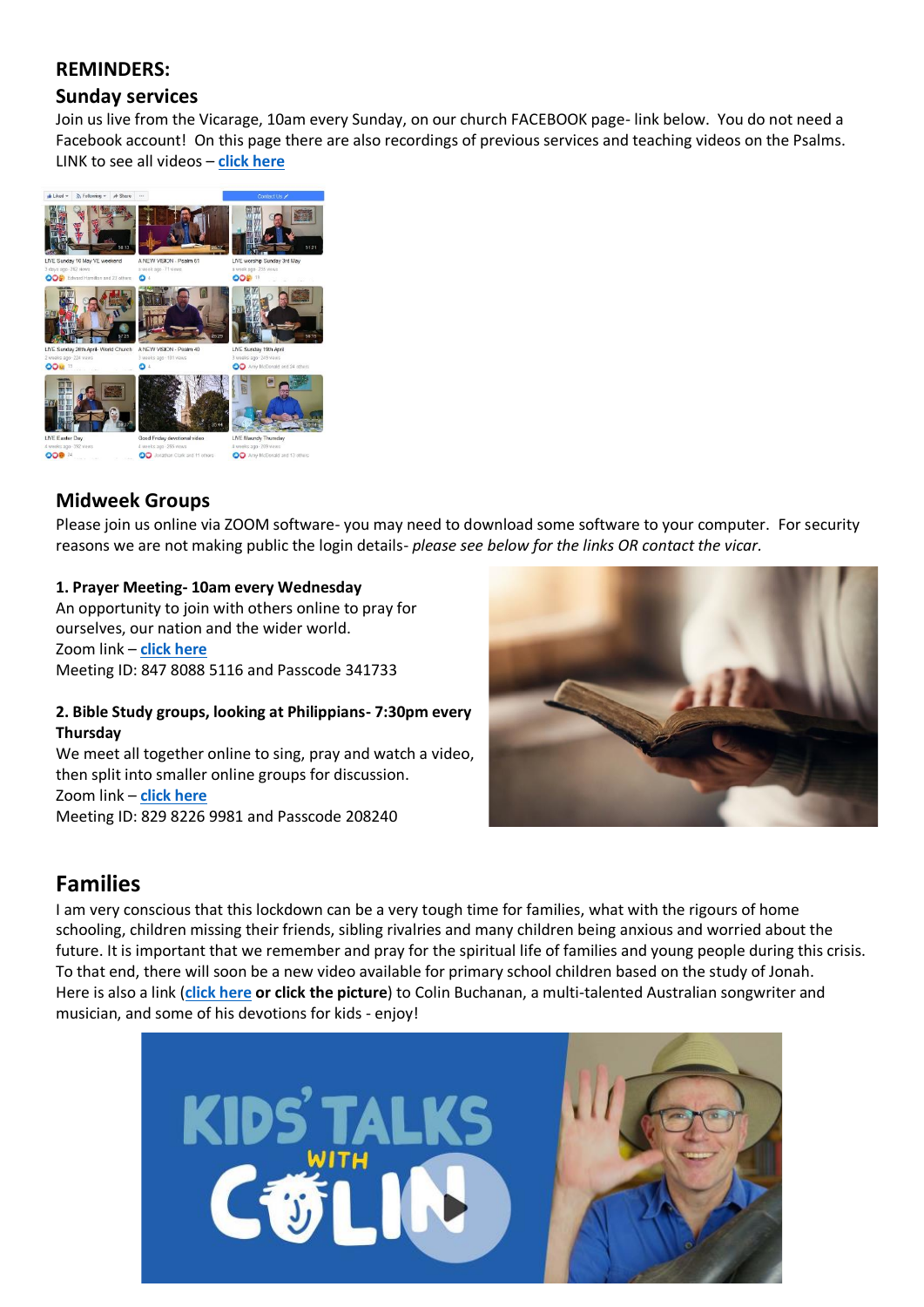## **REMINDERS:**

# **Sunday services**

Join us live from the Vicarage, 10am every Sunday, on our church FACEBOOK page- link below. You do not need a Facebook account! On this page there are also recordings of previous services and teaching videos on the Psalms. LINK to see all videos – **[click here](http://www.facebook.com/stlawrencelechlade/videos)**



## **Midweek Groups**

Please join us online via ZOOM software- you may need to download some software to your computer. For security reasons we are not making public the login details- *please see below for the links OR contact the vicar.*

### **1. Prayer Meeting- 10am every Wednesday**

An opportunity to join with others online to pray for ourselves, our nation and the wider world. Zoom link – **[click here](https://us02web.zoom.us/j/84780885116?pwd=Q1IwQlZHaUdUaERsZmlnSzRTcWk5QT09)** Meeting ID: 847 8088 5116 and Passcode 341733

#### **2. Bible Study groups, looking at Philippians- 7:30pm every Thursday**

We meet all together online to sing, pray and watch a video, then split into smaller online groups for discussion. Zoom link – **[click here](https://us02web.zoom.us/j/82982269981?pwd=a0NSY3ZhcFgzbkcrd0ptN1FZbnpRQT09)** Meeting ID: 829 8226 9981 and Passcode 208240



# **Families**

I am very conscious that this lockdown can be a very tough time for families, what with the rigours of home schooling, children missing their friends, sibling rivalries and many children being anxious and worried about the future. It is important that we remember and pray for the spiritual life of families and young people during this crisis. To that end, there will soon be a new video available for primary school children based on the study of Jonah. Here is also a link (**[click here](https://www.compassion.com.au/colin-buchanan) or click the picture**) to Colin Buchanan, a multi-talented Australian songwriter and musician, and some of his devotions for kids - enjoy!